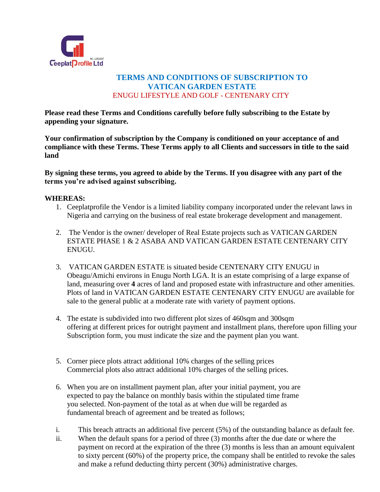

# **TERMS AND CONDITIONS OF SUBSCRIPTION TO VATICAN GARDEN ESTATE** ENUGU LIFESTYLE AND GOLF - CENTENARY CITY

**Please read these Terms and Conditions carefully before fully subscribing to the Estate by appending your signature.** 

**Your confirmation of subscription by the Company is conditioned on your acceptance of and compliance with these Terms. These Terms apply to all Clients and successors in title to the said land**

**By signing these terms, you agreed to abide by the Terms. If you disagree with any part of the terms you're advised against subscribing.**

### **WHEREAS:**

- 1. Ceeplatprofile the Vendor is a limited liability company incorporated under the relevant laws in Nigeria and carrying on the business of real estate brokerage development and management.
- 2. The Vendor is the owner/ developer of Real Estate projects such as VATICAN GARDEN ESTATE PHASE 1 & 2 ASABA AND VATICAN GARDEN ESTATE CENTENARY CITY ENUGU.
- 3. VATICAN GARDEN ESTATE is situated beside CENTENARY CITY ENUGU in Obeagu/Amichi environs in Enugu North LGA. It is an estate comprising of a large expanse of land, measuring over **4** acres of land and proposed estate with infrastructure and other amenities. Plots of land in VATICAN GARDEN ESTATE CENTENARY CITY ENUGU are available for sale to the general public at a moderate rate with variety of payment options.
- 4. The estate is subdivided into two different plot sizes of 460sqm and 300sqm offering at different prices for outright payment and installment plans, therefore upon filling your Subscription form, you must indicate the size and the payment plan you want.
- 5. Corner piece plots attract additional 10% charges of the selling prices Commercial plots also attract additional 10% charges of the selling prices.
- 6. When you are on installment payment plan, after your initial payment, you are expected to pay the balance on monthly basis within the stipulated time frame you selected. Non-payment of the total as at when due will be regarded as fundamental breach of agreement and be treated as follows;
- i. This breach attracts an additional five percent (5%) of the outstanding balance as default fee.
- ii. When the default spans for a period of three (3) months after the due date or where the payment on record at the expiration of the three (3) months is less than an amount equivalent to sixty percent (60%) of the property price, the company shall be entitled to revoke the sales and make a refund deducting thirty percent (30%) administrative charges.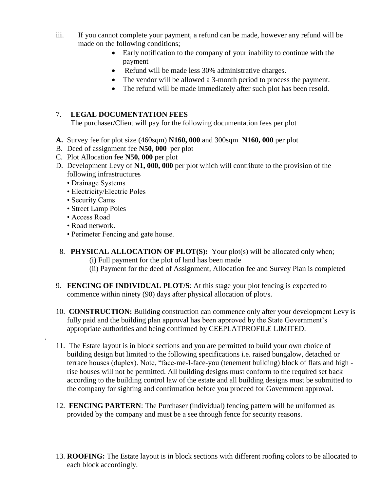- iii. If you cannot complete your payment, a refund can be made, however any refund will be made on the following conditions;
	- Early notification to the company of your inability to continue with the payment
	- Refund will be made less 30% administrative charges.
	- The vendor will be allowed a 3-month period to process the payment.
	- The refund will be made immediately after such plot has been resold.

# 7. **LEGAL DOCUMENTATION FEES**

The purchaser/Client will pay for the following documentation fees per plot

- **A.** Survey fee for plot size (460sqm) **N160, 000** and 300sqm **N160, 000** per plot
- B. Deed of assignment fee **N50, 000** per plot
- C. Plot Allocation fee **N50, 000** per plot
- D. Development Levy of **N1, 000, 000** per plot which will contribute to the provision of the following infrastructures
	- Drainage Systems
	- Electricity/Electric Poles
	- Security Cams
	- Street Lamp Poles
	- Access Road

.

- Road network.
- Perimeter Fencing and gate house.
- 8. **PHYSICAL ALLOCATION OF PLOT(S):** Your plot(s) will be allocated only when; (i) Full payment for the plot of land has been made (ii) Payment for the deed of Assignment, Allocation fee and Survey Plan is completed
- 9. **FENCING OF INDIVIDUAL PLOT/S**: At this stage your plot fencing is expected to commence within ninety (90) days after physical allocation of plot/s.
- 10. **CONSTRUCTION:** Building construction can commence only after your development Levy is fully paid and the building plan approval has been approved by the State Government's appropriate authorities and being confirmed by CEEPLATPROFILE LIMITED.
- 11. The Estate layout is in block sections and you are permitted to build your own choice of building design but limited to the following specifications i.e. raised bungalow, detached or terrace houses (duplex). Note, "face-me-I-face-you (tenement building) block of flats and high rise houses will not be permitted. All building designs must conform to the required set back according to the building control law of the estate and all building designs must be submitted to the company for sighting and confirmation before you proceed for Government approval.
- 12. **FENCING PARTERN**: The Purchaser (individual) fencing pattern will be uniformed as provided by the company and must be a see through fence for security reasons.
- 13. **ROOFING:** The Estate layout is in block sections with different roofing colors to be allocated to each block accordingly.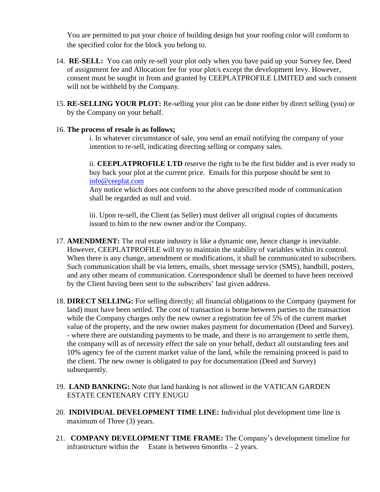You are permitted to put your choice of building design but your roofing color will conform to the specified color for the block you belong to.

- 14. **RE-SELL:** You can only re-sell your plot only when you have paid up your Survey fee, Deed of assignment fee and Allocation fee for your plot/s except the development levy. However, consent must be sought in from and granted by CEEPLATPROFILE LIMITED and such consent will not be withheld by the Company.
- 15. **RE-SELLING YOUR PLOT:** Re-selling your plot can be done either by direct selling (you) or by the Company on your behalf.

### 16. **The process of resale is as follows;**

i. In whatever circumstance of sale, you send an email notifying the company of your intention to re-sell, indicating directing selling or company sales.

ii. **CEEPLATPROFILE LTD** reserve the right to be the first bidder and is ever ready to buy back your plot at the current price. Emails for this purpose should be sent to [info@ceeplat.com](mailto:info@ceeplat.com)

Any notice which does not conform to the above prescribed mode of communication shall be regarded as null and void.

iii. Upon re-sell, the Client (as Seller) must deliver all original copies of documents issued to him to the new owner and/or the Company.

- 17. **AMENDMENT:** The real estate industry is like a dynamic one, hence change is inevitable. However, CEEPLATPROFILE will try to maintain the stability of variables within its control. When there is any change, amendment or modifications, it shall be communicated to subscribers. Such communication shall be via letters, emails, short message service (SMS), handbill, posters, and any other means of communication. Correspondence shall be deemed to have been received by the Client having been sent to the subscribers' last given address.
- 18. **DIRECT SELLING:** For selling directly; all financial obligations to the Company (payment for land) must have been settled. The cost of transaction is borne between parties to the transaction while the Company charges only the new owner a registration fee of 5% of the current market value of the property, and the new owner makes payment for documentation (Deed and Survey). - where there are outstanding payments to be made, and there is no arrangement to settle them, the company will as of necessity effect the sale on your behalf, deduct all outstanding fees and 10% agency fee of the current market value of the land, while the remaining proceed is paid to the client. The new owner is obligated to pay for documentation (Deed and Survey) subsequently.
- 19. **LAND BANKING:** Note that land banking is not allowed in the VATICAN GARDEN ESTATE CENTENARY CITY ENUGU
- 20. **INDIVIDUAL DEVELOPMENT TIME LINE:** Individual plot development time line is maximum of Three (3) years.
- 21. **COMPANY DEVELOPMENT TIME FRAME:** The Company's development timeline for infrastructure within the Estate is between 6months  $-2$  years.